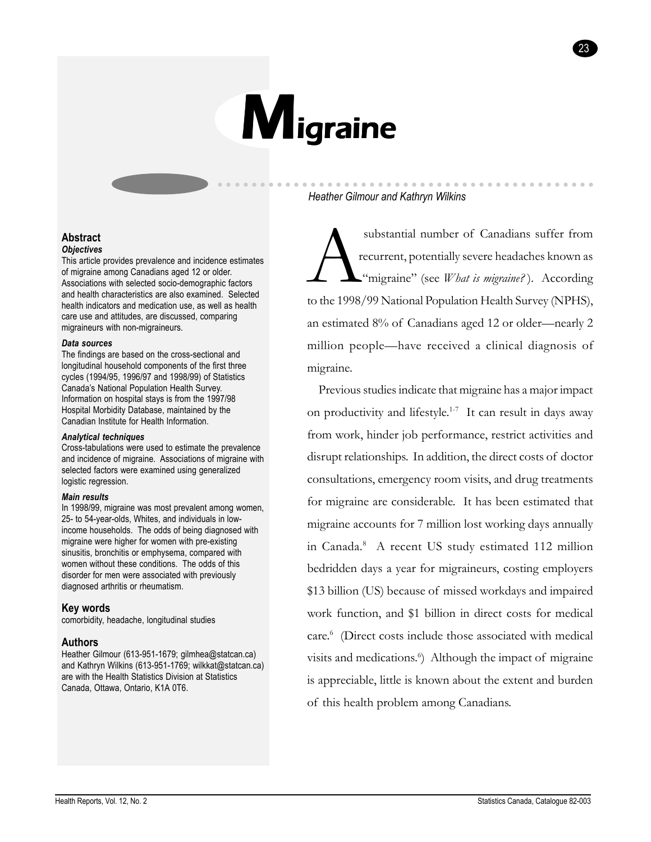

### *Heather Gilmour and Kathryn Wilkins*

substantial number of Canadians suffer from<br>recurrent, potentially severe headaches known as<br>"migraine" (see *What is migraine?*). According<br>to the 1998/99 National Population Health Survey (NPHS) recurrent, potentially severe headaches known as "migraine" (see *What is migraine?*). According to the 1998/99 National Population Health Survey (NPHS), an estimated  $8\%$  of Canadians aged 12 or older—nearly 2 million people—have received a clinical diagnosis of migraine.

aaaaa aaaaaaaaaaaaaaaaaaaaaaaaaaaaaaaaaaaaaaaa

23

Previous studies indicate that migraine has a major impact on productivity and lifestyle.1-7 It can result in days away from work, hinder job performance, restrict activities and disrupt relationships. In addition, the direct costs of doctor consultations, emergency room visits, and drug treatments for migraine are considerable. It has been estimated that migraine accounts for 7 million lost working days annually in Canada.8 A recent US study estimated 112 million bedridden days a year for migraineurs, costing employers \$13 billion (US) because of missed workdays and impaired work function, and \$1 billion in direct costs for medical care.<sup>6</sup> (Direct costs include those associated with medical visits and medications.<sup>6</sup>) Although the impact of migraine is appreciable, little is known about the extent and burden of this health problem among Canadians.

#### **Abstract** *Objectives*

This article provides prevalence and incidence estimates of migraine among Canadians aged 12 or older. Associations with selected socio-demographic factors and health characteristics are also examined. Selected health indicators and medication use, as well as health care use and attitudes, are discussed, comparing migraineurs with non-migraineurs.

#### *Data sources*

The findings are based on the cross-sectional and longitudinal household components of the first three cycles (1994/95, 1996/97 and 1998/99) of Statistics Canadaís National Population Health Survey. Information on hospital stays is from the 1997/98 Hospital Morbidity Database, maintained by the Canadian Institute for Health Information.

### *Analytical techniques*

Cross-tabulations were used to estimate the prevalence and incidence of migraine. Associations of migraine with selected factors were examined using generalized logistic regression.

### *Main results*

In 1998/99, migraine was most prevalent among women, 25- to 54-year-olds, Whites, and individuals in lowincome households. The odds of being diagnosed with migraine were higher for women with pre-existing sinusitis, bronchitis or emphysema, compared with women without these conditions. The odds of this disorder for men were associated with previously diagnosed arthritis or rheumatism.

# **Key words**

comorbidity, headache, longitudinal studies

# **Authors**

Heather Gilmour (613-951-1679; gilmhea@statcan.ca) and Kathryn Wilkins (613-951-1769; wilkkat@statcan.ca) are with the Health Statistics Division at Statistics Canada, Ottawa, Ontario, K1A 0T6.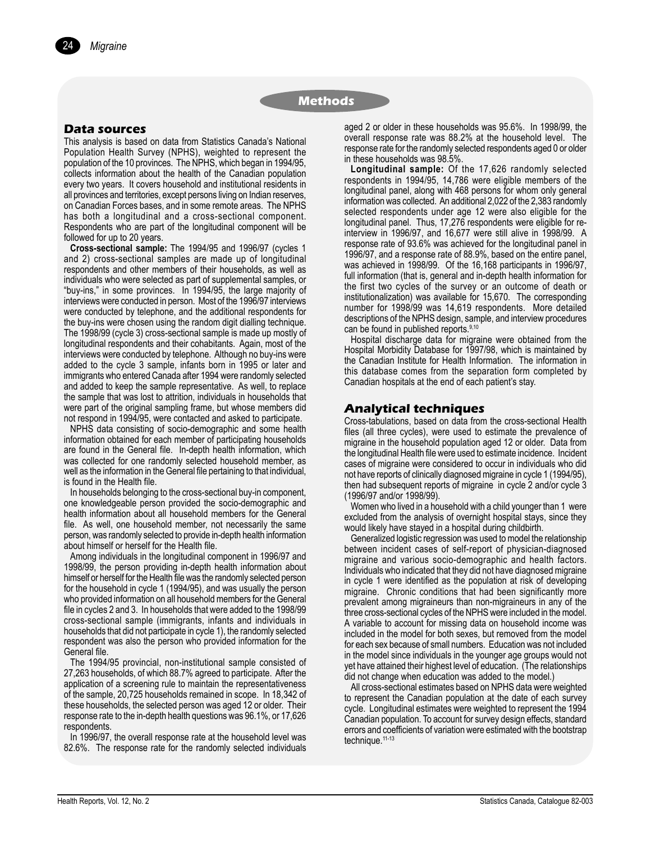### **Data sources**

*Migraine*

24

This analysis is based on data from Statistics Canadaís National Population Health Survey (NPHS), weighted to represent the population of the 10 provinces. The NPHS, which began in 1994/95, collects information about the health of the Canadian population every two years. It covers household and institutional residents in all provinces and territories, except persons living on Indian reserves, on Canadian Forces bases, and in some remote areas. The NPHS has both a longitudinal and a cross-sectional component. Respondents who are part of the longitudinal component will be followed for up to 20 years.

**Cross-sectional sample:** The 1994/95 and 1996/97 (cycles 1 and 2) cross-sectional samples are made up of longitudinal respondents and other members of their households, as well as individuals who were selected as part of supplemental samples, or "buy-ins," in some provinces. In 1994/95, the large majority of interviews were conducted in person. Most of the 1996/97 interviews were conducted by telephone, and the additional respondents for the buy-ins were chosen using the random digit dialling technique. The 1998/99 (cycle 3) cross-sectional sample is made up mostly of longitudinal respondents and their cohabitants. Again, most of the interviews were conducted by telephone. Although no buy-ins were added to the cycle 3 sample, infants born in 1995 or later and immigrants who entered Canada after 1994 were randomly selected and added to keep the sample representative. As well, to replace the sample that was lost to attrition, individuals in households that were part of the original sampling frame, but whose members did not respond in 1994/95, were contacted and asked to participate.

NPHS data consisting of socio-demographic and some health information obtained for each member of participating households are found in the General file. In-depth health information, which was collected for one randomly selected household member, as well as the information in the General file pertaining to that individual, is found in the Health file.

In households belonging to the cross-sectional buy-in component, one knowledgeable person provided the socio-demographic and health information about all household members for the General file. As well, one household member, not necessarily the same person, was randomly selected to provide in-depth health information about himself or herself for the Health file.

Among individuals in the longitudinal component in 1996/97 and 1998/99, the person providing in-depth health information about himself or herself for the Health file was the randomly selected person for the household in cycle 1 (1994/95), and was usually the person who provided information on all household members for the General file in cycles 2 and 3. In households that were added to the 1998/99 cross-sectional sample (immigrants, infants and individuals in households that did not participate in cycle 1), the randomly selected respondent was also the person who provided information for the General file.

The 1994/95 provincial, non-institutional sample consisted of 27,263 households, of which 88.7% agreed to participate. After the application of a screening rule to maintain the representativeness of the sample, 20,725 households remained in scope. In 18,342 of these households, the selected person was aged 12 or older. Their response rate to the in-depth health questions was 96.1%, or 17,626 respondents.

In 1996/97, the overall response rate at the household level was 82.6%. The response rate for the randomly selected individuals aged 2 or older in these households was 95.6%. In 1998/99, the overall response rate was 88.2% at the household level. The response rate for the randomly selected respondents aged 0 or older in these households was 98.5%.

**Longitudinal sample:** Of the 17,626 randomly selected respondents in 1994/95, 14,786 were eligible members of the longitudinal panel, along with 468 persons for whom only general information was collected. An additional 2,022 of the 2,383 randomly selected respondents under age 12 were also eligible for the longitudinal panel. Thus, 17,276 respondents were eligible for reinterview in 1996/97, and 16,677 were still alive in 1998/99. A response rate of 93.6% was achieved for the longitudinal panel in 1996/97, and a response rate of 88.9%, based on the entire panel, was achieved in 1998/99. Of the 16,168 participants in 1996/97, full information (that is, general and in-depth health information for the first two cycles of the survey or an outcome of death or institutionalization) was available for 15,670. The corresponding number for 1998/99 was 14,619 respondents. More detailed descriptions of the NPHS design, sample, and interview procedures can be found in published reports.<sup>9,10</sup>

Hospital discharge data for migraine were obtained from the Hospital Morbidity Database for 1997/98, which is maintained by the Canadian Institute for Health Information. The information in this database comes from the separation form completed by Canadian hospitals at the end of each patient's stay.

### **Analytical techniques**

Cross-tabulations, based on data from the cross-sectional Health files (all three cycles), were used to estimate the prevalence of migraine in the household population aged 12 or older. Data from the longitudinal Health file were used to estimate incidence. Incident cases of migraine were considered to occur in individuals who did not have reports of clinically diagnosed migraine in cycle 1 (1994/95), then had subsequent reports of migraine in cycle 2 and/or cycle 3 (1996/97 and/or 1998/99).

Women who lived in a household with a child younger than 1 were excluded from the analysis of overnight hospital stays, since they would likely have stayed in a hospital during childbirth.

Generalized logistic regression was used to model the relationship between incident cases of self-report of physician-diagnosed migraine and various socio-demographic and health factors. Individuals who indicated that they did not have diagnosed migraine in cycle 1 were identified as the population at risk of developing migraine. Chronic conditions that had been significantly more prevalent among migraineurs than non-migraineurs in any of the three cross-sectional cycles of the NPHS were included in the model. A variable to account for missing data on household income was included in the model for both sexes, but removed from the model for each sex because of small numbers. Education was not included in the model since individuals in the younger age groups would not yet have attained their highest level of education. (The relationships did not change when education was added to the model.)

All cross-sectional estimates based on NPHS data were weighted to represent the Canadian population at the date of each survey cycle. Longitudinal estimates were weighted to represent the 1994 Canadian population. To account for survey design effects, standard errors and coefficients of variation were estimated with the bootstrap technique.<sup>11-13</sup>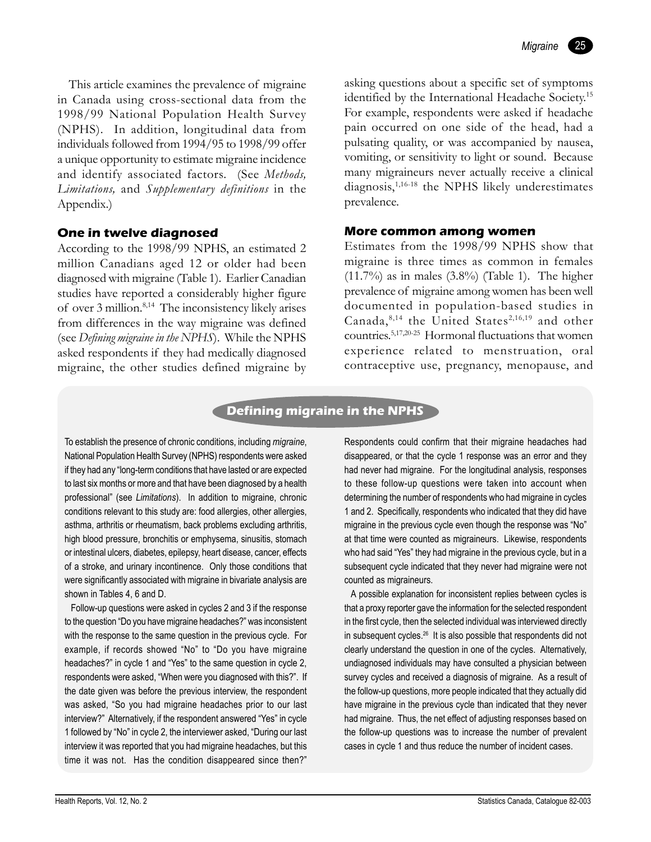This article examines the prevalence of migraine in Canada using cross-sectional data from the 1998/99 National Population Health Survey (NPHS). In addition, longitudinal data from individuals followed from 1994/95 to 1998/99 offer a unique opportunity to estimate migraine incidence and identify associated factors. (See *Methods, Limitations,* and *Supplementary definitions* in the Appendix.)

### **One in twelve diagnosed**

According to the 1998/99 NPHS, an estimated 2 million Canadians aged 12 or older had been diagnosed with migraine (Table 1). Earlier Canadian studies have reported a considerably higher figure of over 3 million.8,14 The inconsistency likely arises from differences in the way migraine was defined (see *Defining migraine in the NPHS*). While the NPHS asked respondents if they had medically diagnosed migraine, the other studies defined migraine by

asking questions about a specific set of symptoms identified by the International Headache Society.15 For example, respondents were asked if headache pain occurred on one side of the head, had a pulsating quality, or was accompanied by nausea, vomiting, or sensitivity to light or sound. Because many migraineurs never actually receive a clinical diagnosis,<sup>1,16-18</sup> the NPHS likely underestimates prevalence.

### **More common among women**

Estimates from the 1998/99 NPHS show that migraine is three times as common in females  $(11.7\%)$  as in males  $(3.8\%)$  (Table 1). The higher prevalence of migraine among women has been well documented in population-based studies in Canada, $8,14$  the United States<sup>2,16,19</sup> and other countries.5,17,20-25 Hormonal fluctuations that women experience related to menstruation, oral contraceptive use, pregnancy, menopause, and

# **Defining migraine in the NPHS**

To establish the presence of chronic conditions, including *migraine*, National Population Health Survey (NPHS) respondents were asked if they had any "long-term conditions that have lasted or are expected to last six months or more and that have been diagnosed by a health professionalî (see *Limitations*). In addition to migraine, chronic conditions relevant to this study are: food allergies, other allergies, asthma, arthritis or rheumatism, back problems excluding arthritis, high blood pressure, bronchitis or emphysema, sinusitis, stomach or intestinal ulcers, diabetes, epilepsy, heart disease, cancer, effects of a stroke, and urinary incontinence. Only those conditions that were significantly associated with migraine in bivariate analysis are shown in Tables 4, 6 and D.

Follow-up questions were asked in cycles 2 and 3 if the response to the question "Do you have migraine headaches?" was inconsistent with the response to the same question in the previous cycle. For example, if records showed "No" to "Do you have migraine headaches?" in cycle 1 and "Yes" to the same question in cycle 2, respondents were asked, "When were you diagnosed with this?". If the date given was before the previous interview, the respondent was asked, "So you had migraine headaches prior to our last interview?" Alternatively, if the respondent answered "Yes" in cycle 1 followed by "No" in cycle 2, the interviewer asked, "During our last interview it was reported that you had migraine headaches, but this time it was not. Has the condition disappeared since then?"

Respondents could confirm that their migraine headaches had disappeared, or that the cycle 1 response was an error and they had never had migraine. For the longitudinal analysis, responses to these follow-up questions were taken into account when determining the number of respondents who had migraine in cycles 1 and 2. Specifically, respondents who indicated that they did have migraine in the previous cycle even though the response was "No" at that time were counted as migraineurs. Likewise, respondents who had said "Yes" they had migraine in the previous cycle, but in a subsequent cycle indicated that they never had migraine were not counted as migraineurs.

A possible explanation for inconsistent replies between cycles is that a proxy reporter gave the information for the selected respondent in the first cycle, then the selected individual was interviewed directly in subsequent cycles.<sup>26</sup> It is also possible that respondents did not clearly understand the question in one of the cycles. Alternatively, undiagnosed individuals may have consulted a physician between survey cycles and received a diagnosis of migraine. As a result of the follow-up questions, more people indicated that they actually did have migraine in the previous cycle than indicated that they never had migraine. Thus, the net effect of adjusting responses based on the follow-up questions was to increase the number of prevalent cases in cycle 1 and thus reduce the number of incident cases.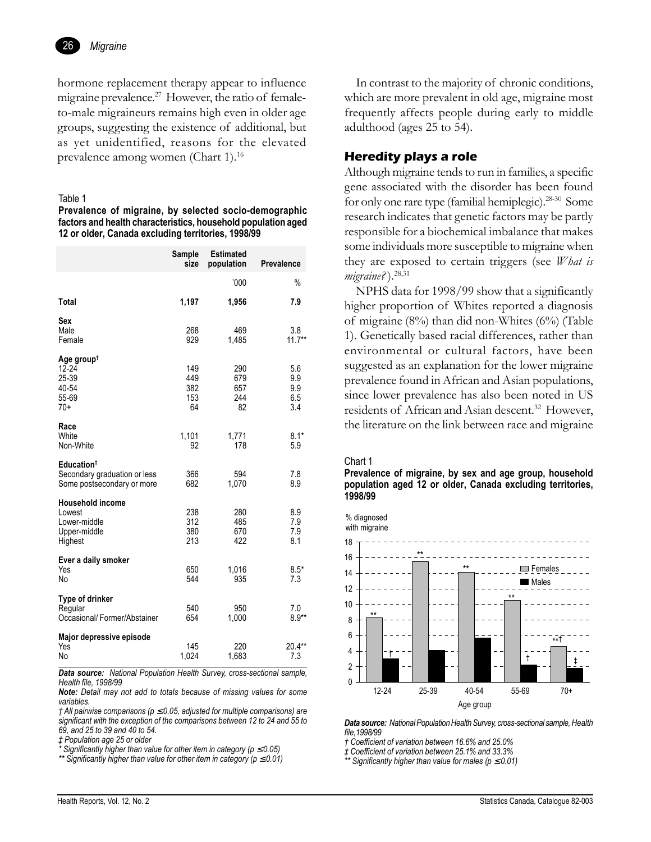

hormone replacement therapy appear to influence migraine prevalence.<sup>27</sup> However, the ratio of femaleto-male migraineurs remains high even in older age groups, suggesting the existence of additional, but as yet unidentified, reasons for the elevated prevalence among women (Chart 1).<sup>16</sup>

#### Table 1

Prevalence of migraine, by selected socio-demographic factors and health characteristics, household population aged 12 or older, Canada excluding territories, 1998/99

|                                                                                      | Sample<br>size                 | <b>Estimated</b><br>population | <b>Prevalence</b>               |
|--------------------------------------------------------------------------------------|--------------------------------|--------------------------------|---------------------------------|
|                                                                                      |                                | 000'                           | $\%$                            |
| Total                                                                                | 1,197                          | 1,956                          | 7.9                             |
| Sex<br>Male<br>Female                                                                | 268<br>929                     | 469<br>1,485                   | 3.8<br>$11.7***$                |
| Age groupt<br>$12 - 24$<br>25-39<br>40-54<br>55-69<br>$70+$                          | 149<br>449<br>382<br>153<br>64 | 290<br>679<br>657<br>244<br>82 | 5.6<br>9.9<br>9.9<br>6.5<br>3.4 |
| Race<br>White<br>Non-White                                                           | 1,101<br>92                    | 1,771<br>178                   | $8.1*$<br>5.9                   |
| Education <sup>#</sup><br>Secondary graduation or less<br>Some postsecondary or more | 366<br>682                     | 594<br>1,070                   | 7.8<br>8.9                      |
| Household income<br>Lowest<br>Lower-middle<br>Upper-middle<br>Highest                | 238<br>312<br>380<br>213       | 280<br>485<br>670<br>422       | 8.9<br>7.9<br>7.9<br>8.1        |
| Ever a daily smoker<br>Yes<br>N <sub>o</sub>                                         | 650<br>544                     | 1,016<br>935                   | $8.5*$<br>7.3                   |
| Type of drinker<br>Regular<br>Occasional/Former/Abstainer                            | 540<br>654                     | 950<br>1,000                   | 7.0<br>$8.9**$                  |
| Major depressive episode<br>Yes<br>No                                                | 145<br>1,024                   | 220<br>1,683                   | $20.4**$<br>7.3                 |

Data source: National Population Health Survey, cross-sectional sample, Health file. 1998/99

Note: Detail may not add to totals because of missing values for some variables

 $\dagger$  All pairwise comparisons ( $p \le 0.05$ , adjusted for multiple comparisons) are significant with the exception of the comparisons between 12 to 24 and 55 to 69, and 25 to 39 and 40 to 54.

# Population age 25 or older

Significantly higher than value for other item in category ( $p \le 0.05$ )

\*\* Significantly higher than value for other item in category ( $p \le 0.01$ )

In contrast to the majority of chronic conditions, which are more prevalent in old age, migraine most frequently affects people during early to middle adulthood (ages 25 to 54).

# **Heredity plays a role**

Although migraine tends to run in families, a specific gene associated with the disorder has been found for only one rare type (familial hemiplegic).<sup>28-30</sup> Some research indicates that genetic factors may be partly responsible for a biochemical imbalance that makes some individuals more susceptible to migraine when they are exposed to certain triggers (see *What is*  $migraine$ ?).  $^{28,31}$ 

NPHS data for 1998/99 show that a significantly higher proportion of Whites reported a diagnosis of migraine  $(8\%)$  than did non-Whites  $(6\%)$  (Table 1). Genetically based racial differences, rather than environmental or cultural factors, have been suggested as an explanation for the lower migraine prevalence found in African and Asian populations, since lower prevalence has also been noted in US residents of African and Asian descent.<sup>32</sup> However, the literature on the link between race and migraine

#### Chart 1

Prevalence of migraine, by sex and age group, household population aged 12 or older, Canada excluding territories, 1998/99



Data source: National Population Health Survey, cross-sectional sample, Health file, 1998/99

† Coefficient of variation between 16.6% and 25.0%

 $\stackrel{.}{\mathcal{I}}$  Coefficient of variation between 25.1% and 33.3%<br>\*\* Significantly higher than value for males (p  $\leq$  0.01)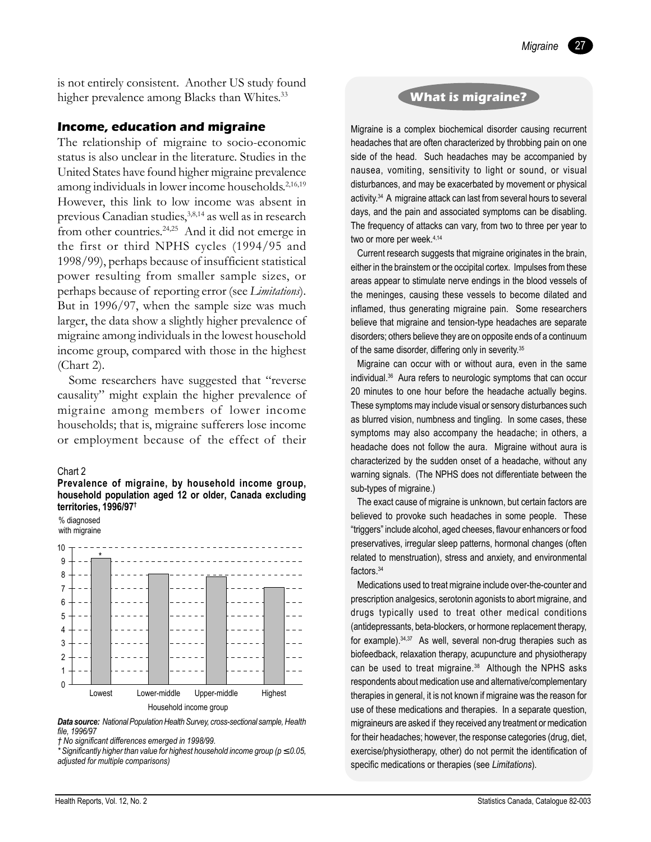27

is not entirely consistent. Another US study found higher prevalence among Blacks than Whites.<sup>33</sup>

### **Income, education and migraine**

The relationship of migraine to socio-economic status is also unclear in the literature. Studies in the United States have found higher migraine prevalence among individuals in lower income households.<sup>2,16,19</sup> However, this link to low income was absent in previous Canadian studies,3,8,14 as well as in research from other countries.24,25 And it did not emerge in the first or third NPHS cycles (1994/95 and 1998/99), perhaps because of insufficient statistical power resulting from smaller sample sizes, or perhaps because of reporting error (see *Limitations*). But in 1996/97, when the sample size was much larger, the data show a slightly higher prevalence of migraine among individuals in the lowest household income group, compared with those in the highest (Chart 2).

Some researchers have suggested that "reverse" causality" might explain the higher prevalence of migraine among members of lower income households; that is, migraine sufferers lose income or employment because of the effect of their

### Chart 2

#### **Prevalence of migraine, by household income group, household population aged 12 or older, Canada excluding** territories, 1996/97<sup>t</sup>

% diagnosed with migraine



*Data source: National Population Health Survey, cross-sectional sample, Health file, 1996/97*

*\* Significantly higher than value for highest household income group (p* ≤ *0.05, adjusted for multiple comparisons)*

# **What is migraine?**

Migraine is a complex biochemical disorder causing recurrent headaches that are often characterized by throbbing pain on one side of the head. Such headaches may be accompanied by nausea, vomiting, sensitivity to light or sound, or visual disturbances, and may be exacerbated by movement or physical activity.<sup>34</sup> A migraine attack can last from several hours to several days, and the pain and associated symptoms can be disabling. The frequency of attacks can vary, from two to three per year to two or more per week.<sup>4,14</sup>

Current research suggests that migraine originates in the brain, either in the brainstem or the occipital cortex. Impulses from these areas appear to stimulate nerve endings in the blood vessels of the meninges, causing these vessels to become dilated and inflamed, thus generating migraine pain. Some researchers believe that migraine and tension-type headaches are separate disorders; others believe they are on opposite ends of a continuum of the same disorder, differing only in severity.<sup>35</sup>

Migraine can occur with or without aura, even in the same individual.36 Aura refers to neurologic symptoms that can occur 20 minutes to one hour before the headache actually begins. These symptoms may include visual or sensory disturbances such as blurred vision, numbness and tingling. In some cases, these symptoms may also accompany the headache; in others, a headache does not follow the aura. Migraine without aura is characterized by the sudden onset of a headache, without any warning signals. (The NPHS does not differentiate between the sub-types of migraine.)

The exact cause of migraine is unknown, but certain factors are believed to provoke such headaches in some people. These ìtriggersî include alcohol, aged cheeses, flavour enhancers or food preservatives, irregular sleep patterns, hormonal changes (often related to menstruation), stress and anxiety, and environmental factors.<sup>34</sup>

Medications used to treat migraine include over-the-counter and prescription analgesics, serotonin agonists to abort migraine, and drugs typically used to treat other medical conditions (antidepressants, beta-blockers, or hormone replacement therapy, for example).34,37 As well, several non-drug therapies such as biofeedback, relaxation therapy, acupuncture and physiotherapy can be used to treat migraine.<sup>38</sup> Although the NPHS asks respondents about medication use and alternative/complementary therapies in general, it is not known if migraine was the reason for use of these medications and therapies. In a separate question, migraineurs are asked if they received any treatment or medication for their headaches; however, the response categories (drug, diet, exercise/physiotherapy, other) do not permit the identification of specific medications or therapies (see *Limitations*).

*Ü No significant differences emerged in 1998/99.*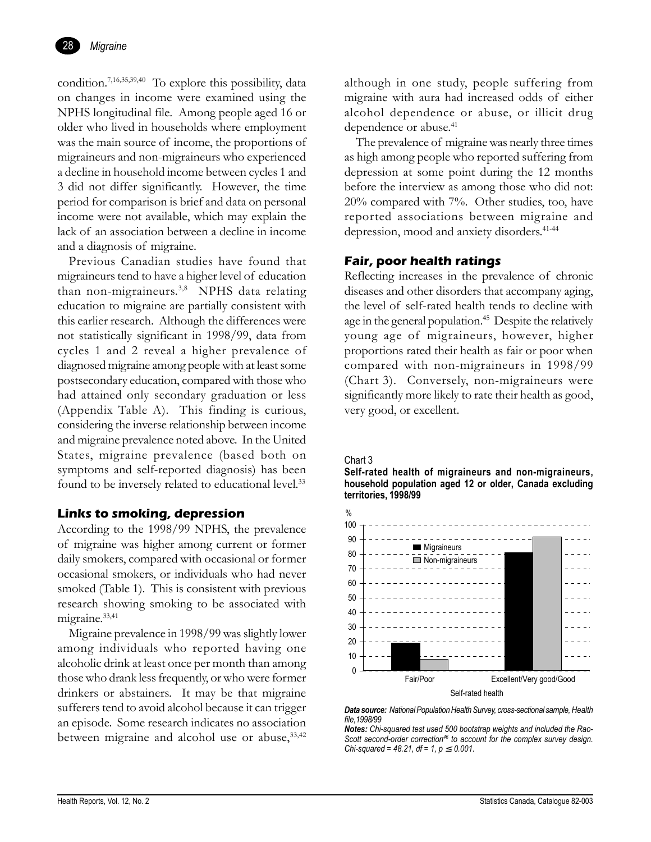

condition.7,16,35,39,40 To explore this possibility, data on changes in income were examined using the NPHS longitudinal file. Among people aged 16 or older who lived in households where employment was the main source of income, the proportions of migraineurs and non-migraineurs who experienced a decline in household income between cycles 1 and 3 did not differ significantly. However, the time period for comparison is brief and data on personal income were not available, which may explain the lack of an association between a decline in income and a diagnosis of migraine.

Previous Canadian studies have found that migraineurs tend to have a higher level of education than non-migraineurs.<sup>3,8</sup> NPHS data relating education to migraine are partially consistent with this earlier research. Although the differences were not statistically significant in 1998/99, data from cycles 1 and 2 reveal a higher prevalence of diagnosed migraine among people with at least some postsecondary education, compared with those who had attained only secondary graduation or less (Appendix Table A). This finding is curious, considering the inverse relationship between income and migraine prevalence noted above. In the United States, migraine prevalence (based both on symptoms and self-reported diagnosis) has been found to be inversely related to educational level.<sup>33</sup>

# **Links to smoking, depression**

According to the 1998/99 NPHS, the prevalence of migraine was higher among current or former daily smokers, compared with occasional or former occasional smokers, or individuals who had never smoked (Table 1). This is consistent with previous research showing smoking to be associated with migraine.<sup>33,41</sup>

Migraine prevalence in 1998/99 was slightly lower among individuals who reported having one alcoholic drink at least once per month than among those who drank less frequently, or who were former drinkers or abstainers. It may be that migraine sufferers tend to avoid alcohol because it can trigger an episode. Some research indicates no association between migraine and alcohol use or abuse,  $33,42$  although in one study, people suffering from migraine with aura had increased odds of either alcohol dependence or abuse, or illicit drug dependence or abuse.<sup>41</sup>

The prevalence of migraine was nearly three times as high among people who reported suffering from depression at some point during the 12 months before the interview as among those who did not: 20% compared with 7%. Other studies, too, have reported associations between migraine and depression, mood and anxiety disorders.41-44

# **Fair, poor health ratings**

Reflecting increases in the prevalence of chronic diseases and other disorders that accompany aging, the level of self-rated health tends to decline with age in the general population.<sup>45</sup> Despite the relatively young age of migraineurs, however, higher proportions rated their health as fair or poor when compared with non-migraineurs in 1998/99 (Chart 3). Conversely, non-migraineurs were significantly more likely to rate their health as good, very good, or excellent.

Chart 3

**Self-rated health of migraineurs and non-migraineurs, household population aged 12 or older, Canada excluding territories, 1998/99**



*Data source: National Population Health Survey, cross-sectional sample, Health file,1998/99*

*Notes: Chi-squared test used 500 bootstrap weights and included the Rao-Scott second-order correction46 to account for the complex survey design. Chi-squared = 48.21, df = 1, p*  $\leq$  *0.001.*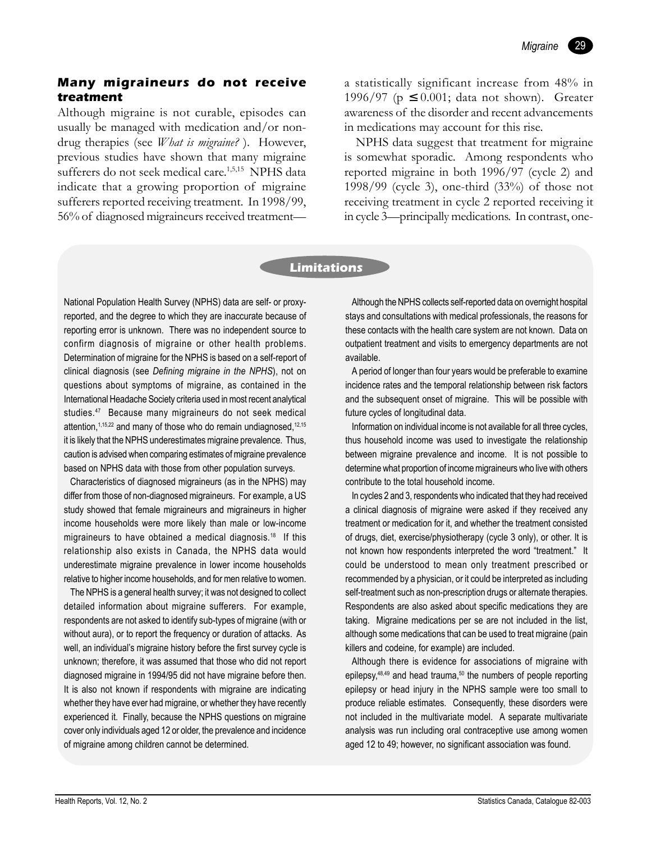# **Many migraineurs do not receive treatment**

Although migraine is not curable, episodes can usually be managed with medication and/or nondrug therapies (see *What is migraine?* ). However, previous studies have shown that many migraine sufferers do not seek medical care.<sup>1,5,15</sup> NPHS data indicate that a growing proportion of migraine sufferers reported receiving treatment. In 1998/99, 56% of diagnosed migraineurs received treatmenta statistically significant increase from 48% in 1996/97 ( $p \leq 0.001$ ; data not shown). Greater awareness of the disorder and recent advancements in medications may account for this rise.

NPHS data suggest that treatment for migraine is somewhat sporadic. Among respondents who reported migraine in both 1996/97 (cycle 2) and 1998/99 (cycle 3), one-third (33%) of those not receiving treatment in cycle 2 reported receiving it in cycle 3—principally medications. In contrast, one-

### **Limitations**

National Population Health Survey (NPHS) data are self- or proxyreported, and the degree to which they are inaccurate because of reporting error is unknown. There was no independent source to confirm diagnosis of migraine or other health problems. Determination of migraine for the NPHS is based on a self-report of clinical diagnosis (see *Defining migraine in the NPHS*), not on questions about symptoms of migraine, as contained in the International Headache Society criteria used in most recent analytical studies.<sup>47</sup> Because many migraineurs do not seek medical attention, 1,15,22 and many of those who do remain undiagnosed, 12,15 it is likely that the NPHS underestimates migraine prevalence. Thus, caution is advised when comparing estimates of migraine prevalence based on NPHS data with those from other population surveys.

Characteristics of diagnosed migraineurs (as in the NPHS) may differ from those of non-diagnosed migraineurs. For example, a US study showed that female migraineurs and migraineurs in higher income households were more likely than male or low-income migraineurs to have obtained a medical diagnosis.18 If this relationship also exists in Canada, the NPHS data would underestimate migraine prevalence in lower income households relative to higher income households, and for men relative to women.

The NPHS is a general health survey; it was not designed to collect detailed information about migraine sufferers. For example, respondents are not asked to identify sub-types of migraine (with or without aura), or to report the frequency or duration of attacks. As well, an individual's migraine history before the first survey cycle is unknown; therefore, it was assumed that those who did not report diagnosed migraine in 1994/95 did not have migraine before then. It is also not known if respondents with migraine are indicating whether they have ever had migraine, or whether they have recently experienced it. Finally, because the NPHS questions on migraine cover only individuals aged 12 or older, the prevalence and incidence of migraine among children cannot be determined.

Although the NPHS collects self-reported data on overnight hospital stays and consultations with medical professionals, the reasons for these contacts with the health care system are not known. Data on outpatient treatment and visits to emergency departments are not available.

A period of longer than four years would be preferable to examine incidence rates and the temporal relationship between risk factors and the subsequent onset of migraine. This will be possible with future cycles of longitudinal data.

Information on individual income is not available for all three cycles, thus household income was used to investigate the relationship between migraine prevalence and income. It is not possible to determine what proportion of income migraineurs who live with others contribute to the total household income.

In cycles 2 and 3, respondents who indicated that they had received a clinical diagnosis of migraine were asked if they received any treatment or medication for it, and whether the treatment consisted of drugs, diet, exercise/physiotherapy (cycle 3 only), or other. It is not known how respondents interpreted the word "treatment." It could be understood to mean only treatment prescribed or recommended by a physician, or it could be interpreted as including self-treatment such as non-prescription drugs or alternate therapies. Respondents are also asked about specific medications they are taking. Migraine medications per se are not included in the list, although some medications that can be used to treat migraine (pain killers and codeine, for example) are included.

Although there is evidence for associations of migraine with epilepsy,<sup>48,49</sup> and head trauma,<sup>50</sup> the numbers of people reporting epilepsy or head injury in the NPHS sample were too small to produce reliable estimates. Consequently, these disorders were not included in the multivariate model. A separate multivariate analysis was run including oral contraceptive use among women aged 12 to 49; however, no significant association was found.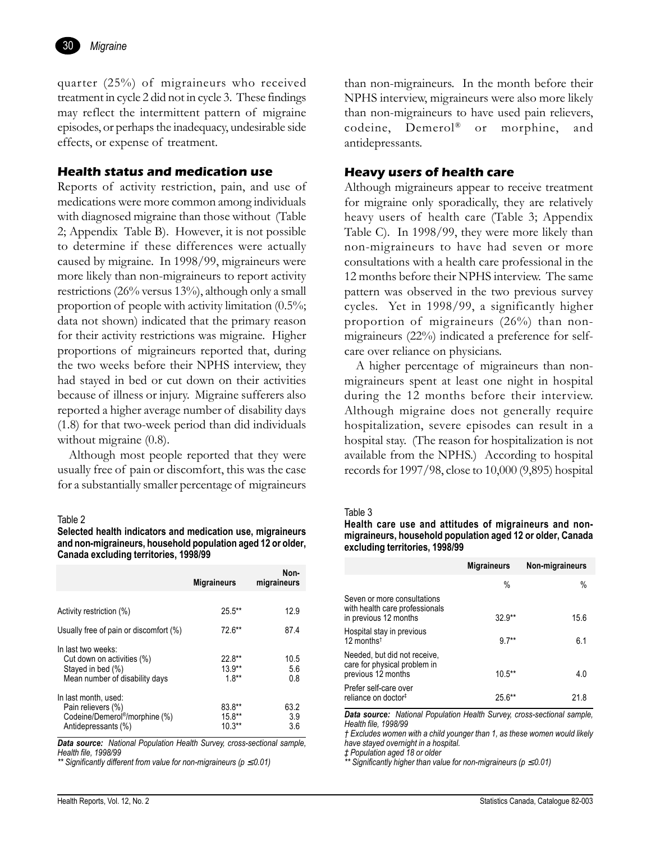

quarter (25%) of migraineurs who received treatment in cycle 2 did not in cycle 3. These findings may reflect the intermittent pattern of migraine episodes, or perhaps the inadequacy, undesirable side effects, or expense of treatment.

# **Health status and medication use**

Reports of activity restriction, pain, and use of medications were more common among individuals with diagnosed migraine than those without (Table 2; Appendix Table B). However, it is not possible to determine if these differences were actually caused by migraine. In 1998/99, migraineurs were more likely than non-migraineurs to report activity restrictions (26% versus 13%), although only a small proportion of people with activity limitation (0.5%; data not shown) indicated that the primary reason for their activity restrictions was migraine. Higher proportions of migraineurs reported that, during the two weeks before their NPHS interview, they had stayed in bed or cut down on their activities because of illness or injury. Migraine sufferers also reported a higher average number of disability days (1.8) for that two-week period than did individuals without migraine  $(0.8)$ .

Although most people reported that they were usually free of pain or discomfort, this was the case for a substantially smaller percentage of migraineurs

#### Table 2

**Selected health indicators and medication use, migraineurs and non-migraineurs, household population aged 12 or older, Canada excluding territories, 1998/99**

|                                                                                                                 | <b>Migraineurs</b>                | Non-<br>migraineurs |
|-----------------------------------------------------------------------------------------------------------------|-----------------------------------|---------------------|
|                                                                                                                 |                                   |                     |
| Activity restriction (%)                                                                                        | $25.5***$                         | 12.9                |
| Usually free of pain or discomfort (%)                                                                          | 72.6**                            | 87.4                |
| In last two weeks:<br>Cut down on activities (%)<br>Stayed in bed (%)<br>Mean number of disability days         | $22.8**$<br>$13.9**$<br>$1.8***$  | 10.5<br>5.6<br>0.8  |
| In last month, used:<br>Pain relievers (%)<br>Codeine/Demerol <sup>®</sup> /morphine (%)<br>Antidepressants (%) | $83.8**$<br>$15.8***$<br>$10.3**$ | 63.2<br>3.9<br>36   |

*Data source: National Population Health Survey, cross-sectional sample, Health file, 1998/99*

*\*\* Significantly different from value for non-migraineurs (p* ≤ *0.01)*

than non-migraineurs. In the month before their NPHS interview, migraineurs were also more likely than non-migraineurs to have used pain relievers, codeine, Demerol® or morphine, and antidepressants.

### **Heavy users of health care**

Although migraineurs appear to receive treatment for migraine only sporadically, they are relatively heavy users of health care (Table 3; Appendix Table C). In 1998/99, they were more likely than non-migraineurs to have had seven or more consultations with a health care professional in the 12 months before their NPHS interview. The same pattern was observed in the two previous survey cycles. Yet in 1998/99, a significantly higher proportion of migraineurs (26%) than nonmigraineurs (22%) indicated a preference for selfcare over reliance on physicians.

A higher percentage of migraineurs than nonmigraineurs spent at least one night in hospital during the 12 months before their interview. Although migraine does not generally require hospitalization, severe episodes can result in a hospital stay. (The reason for hospitalization is not available from the NPHS.) According to hospital records for 1997/98, close to 10,000 (9,895) hospital

#### Table 3

**Health care use and attitudes of migraineurs and nonmigraineurs, household population aged 12 or older, Canada excluding territories, 1998/99**

|                                                                                        | <b>Migraineurs</b> | Non-migraineurs |
|----------------------------------------------------------------------------------------|--------------------|-----------------|
|                                                                                        | %                  | %               |
| Seven or more consultations<br>with health care professionals<br>in previous 12 months | $32.9**$           | 15.6            |
| Hospital stay in previous<br>12 months <sup><math>†</math></sup>                       | $97**$             | 6.1             |
| Needed, but did not receive,<br>care for physical problem in<br>previous 12 months     | $10.5***$          | 4.0             |
| Prefer self-care over<br>reliance on doctor#                                           | 25.6**             | 21.8            |

*Data source: National Population Health Survey, cross-sectional sample, Health file, 1998/99*

*Ü Excludes women with a child younger than 1, as these women would likely have stayed overnight in a hospital.*

*á Population aged 18 or older*

*\*\* Significantly higher than value for non-migraineurs (p* ≤ *0.01)*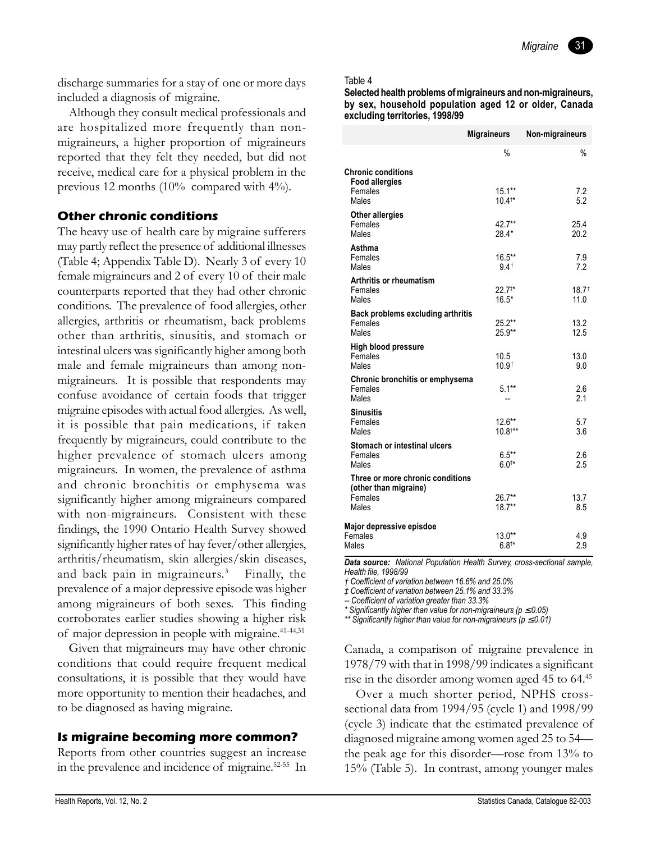discharge summaries for a stay of one or more days included a diagnosis of migraine.

Although they consult medical professionals and are hospitalized more frequently than nonmigraineurs, a higher proportion of migraineurs reported that they felt they needed, but did not receive, medical care for a physical problem in the previous 12 months (10% compared with 4%).

# **Other chronic conditions**

The heavy use of health care by migraine sufferers may partly reflect the presence of additional illnesses (Table 4; Appendix Table D). Nearly 3 of every 10 female migraineurs and 2 of every 10 of their male counterparts reported that they had other chronic conditions. The prevalence of food allergies, other allergies, arthritis or rheumatism, back problems other than arthritis, sinusitis, and stomach or intestinal ulcers was significantly higher among both male and female migraineurs than among nonmigraineurs. It is possible that respondents may confuse avoidance of certain foods that trigger migraine episodes with actual food allergies. As well, it is possible that pain medications, if taken frequently by migraineurs, could contribute to the higher prevalence of stomach ulcers among migraineurs. In women, the prevalence of asthma and chronic bronchitis or emphysema was significantly higher among migraineurs compared with non-migraineurs. Consistent with these findings, the 1990 Ontario Health Survey showed significantly higher rates of hay fever/other allergies, arthritis/rheumatism, skin allergies/skin diseases, and back pain in migraineurs.<sup>3</sup> Finally, the prevalence of a major depressive episode was higher among migraineurs of both sexes. This finding corroborates earlier studies showing a higher risk of major depression in people with migraine.41-44,51

Given that migraineurs may have other chronic conditions that could require frequent medical consultations, it is possible that they would have more opportunity to mention their headaches, and to be diagnosed as having migraine.

# **Is migraine becoming more common?**

Reports from other countries suggest an increase in the prevalence and incidence of migraine.52-55 In

### Table 4

**Selected health problems of migraineurs and non-migraineurs, by sex, household population aged 12 or older, Canada excluding territories, 1998/99**

|                                                           | <b>Migraineurs</b>                 | Non-migraineurs          |
|-----------------------------------------------------------|------------------------------------|--------------------------|
|                                                           | $\frac{9}{6}$                      | $\frac{0}{0}$            |
| <b>Chronic conditions</b><br><b>Food allergies</b>        |                                    |                          |
| Females<br>Males                                          | $15.1***$<br>$10.4^{**}$           | 7.2<br>5.2               |
| <b>Other allergies</b><br>Females<br>Males                | 42.7**<br>$28.4*$                  | 25.4<br>20.2             |
| Asthma<br>Females<br>Males                                | $16.5***$<br>$9.4^+$               | 7.9<br>7.2               |
| <b>Arthritis or rheumatism</b><br>Females<br>Males        | $22.7**$<br>$16.5*$                | $18.7^{\dagger}$<br>11.0 |
| Back problems excluding arthritis<br>Females<br>Males     | $25.2***$<br>$25.9**$              | 13.2<br>12.5             |
| <b>High blood pressure</b><br>Females<br>Males            | 10.5<br>10.9 <sup>†</sup>          | 13.0<br>9.0              |
| Chronic bronchitis or emphysema<br>Females<br>Males       | $5.1***$                           | 2.6<br>2.1               |
| Sinusitis<br>Females<br>Males                             | $12.6***$<br>$10.8$ <sup>†**</sup> | 5.7<br>3.6               |
| Stomach or intestinal ulcers<br>Females<br>Males          | $6.5***$<br>$6.0^{**}$             | 2.6<br>2.5               |
| Three or more chronic conditions<br>(other than migraine) |                                    |                          |
| Females<br>Males                                          | $26.7***$<br>$18.7**$              | 13.7<br>8.5              |
| Major depressive episdoe<br>Females<br>Males              | $13.0**$<br>$6.8^{+*}$             | 4.9<br>2.9               |

*Data source: National Population Health Survey, cross-sectional sample, Health file, 1998/99*

*Ü Coefficient of variation between 16.6% and 25.0%*

*á Coefficient of variation between 25.1% and 33.3%*

*-- Coefficient of variation greater than 33.3%*

*\* Significantly higher than value for non-migraineurs (p* ≤ *0.05)*

*\*\* Significantly higher than value for non-migraineurs (p* ≤ *0.01)*

Canada, a comparison of migraine prevalence in 1978/79 with that in 1998/99 indicates a significant rise in the disorder among women aged 45 to 64.<sup>45</sup>

Over a much shorter period, NPHS crosssectional data from 1994/95 (cycle 1) and 1998/99 (cycle 3) indicate that the estimated prevalence of diagnosed migraine among women aged 25 to 54 $$ the peak age for this disorder—rose from  $13%$  to 15% (Table 5). In contrast, among younger males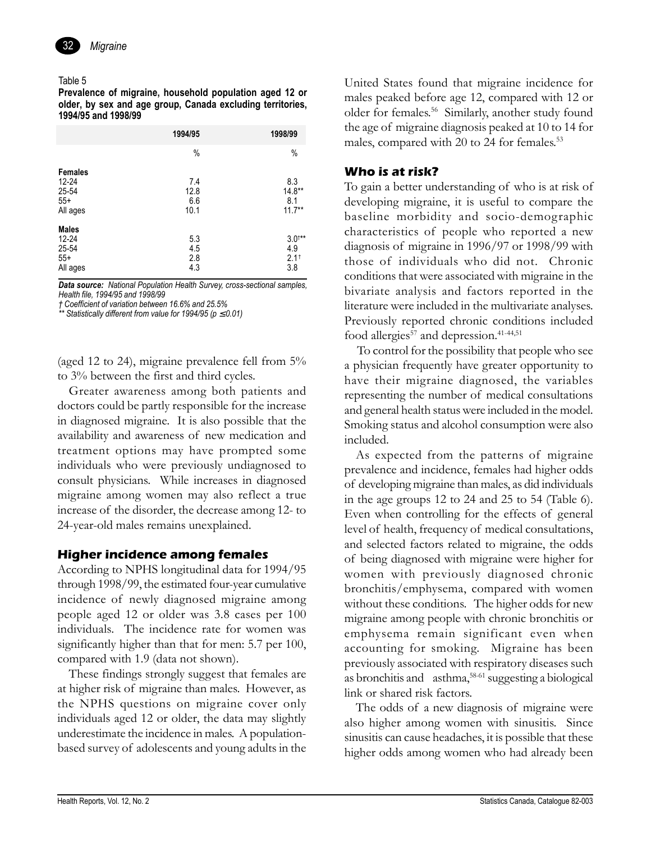

### Table 5

**Prevalence of migraine, household population aged 12 or older, by sex and age group, Canada excluding territories, 1994/95 and 1998/99**

|                                                         | 1994/95                    | 1998/99                              |
|---------------------------------------------------------|----------------------------|--------------------------------------|
|                                                         | %                          | %                                    |
| <b>Females</b><br>12-24<br>25-54<br>$55+$<br>All ages   | 7.4<br>12.8<br>6.6<br>10.1 | 8.3<br>$14.8***$<br>8.1<br>$11.7***$ |
| <b>Males</b><br>$12 - 24$<br>25-54<br>$55+$<br>All ages | 5.3<br>4.5<br>2.8<br>4.3   | $3.0^{+**}$<br>4.9<br>$2.1^+$<br>3.8 |

*Data source: National Population Health Survey, cross-sectional samples, Health file, 1994/95 and 1998/99*

*Ü Coefficient of variation between 16.6% and 25.5%*

*\*\* Statistically different from value for 1994/95 (p* ≤ *0.01)*

(aged 12 to 24), migraine prevalence fell from 5% to 3% between the first and third cycles.

Greater awareness among both patients and doctors could be partly responsible for the increase in diagnosed migraine. It is also possible that the availability and awareness of new medication and treatment options may have prompted some individuals who were previously undiagnosed to consult physicians. While increases in diagnosed migraine among women may also reflect a true increase of the disorder, the decrease among 12- to 24-year-old males remains unexplained.

# **Higher incidence among females**

According to NPHS longitudinal data for 1994/95 through 1998/99, the estimated four-year cumulative incidence of newly diagnosed migraine among people aged 12 or older was 3.8 cases per 100 individuals. The incidence rate for women was significantly higher than that for men: 5.7 per 100, compared with 1.9 (data not shown).

These findings strongly suggest that females are at higher risk of migraine than males. However, as the NPHS questions on migraine cover only individuals aged 12 or older, the data may slightly underestimate the incidence in males. A populationbased survey of adolescents and young adults in the

United States found that migraine incidence for males peaked before age 12, compared with 12 or older for females.56 Similarly, another study found the age of migraine diagnosis peaked at 10 to 14 for males, compared with 20 to 24 for females.<sup>53</sup>

# **Who is at risk?**

To gain a better understanding of who is at risk of developing migraine, it is useful to compare the baseline morbidity and socio-demographic characteristics of people who reported a new diagnosis of migraine in 1996/97 or 1998/99 with those of individuals who did not. Chronic conditions that were associated with migraine in the bivariate analysis and factors reported in the literature were included in the multivariate analyses. Previously reported chronic conditions included food allergies<sup>57</sup> and depression.<sup>41-44,51</sup>

To control for the possibility that people who see a physician frequently have greater opportunity to have their migraine diagnosed, the variables representing the number of medical consultations and general health status were included in the model. Smoking status and alcohol consumption were also included.

As expected from the patterns of migraine prevalence and incidence, females had higher odds of developing migraine than males, as did individuals in the age groups 12 to 24 and 25 to 54 (Table 6). Even when controlling for the effects of general level of health, frequency of medical consultations, and selected factors related to migraine, the odds of being diagnosed with migraine were higher for women with previously diagnosed chronic bronchitis/emphysema, compared with women without these conditions. The higher odds for new migraine among people with chronic bronchitis or emphysema remain significant even when accounting for smoking. Migraine has been previously associated with respiratory diseases such as bronchitis and asthma,58-61 suggesting a biological link or shared risk factors.

The odds of a new diagnosis of migraine were also higher among women with sinusitis. Since sinusitis can cause headaches, it is possible that these higher odds among women who had already been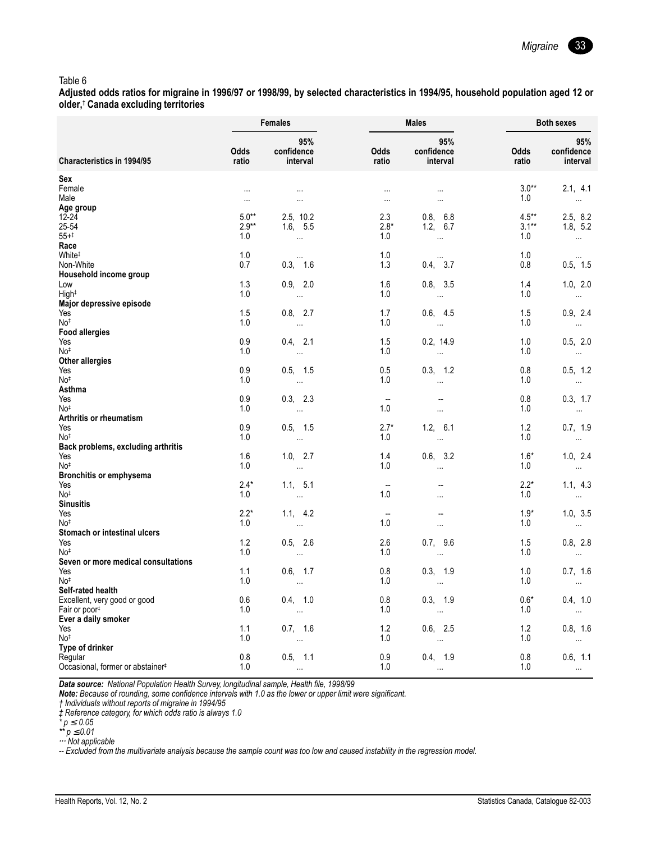#### Table 6

Adjusted odds ratios for migraine in 1996/97 or 1998/99, by selected characteristics in 1994/95, household population aged 12 or older,<sup>†</sup> Canada excluding territories

|                                                        |               | <b>Females</b>                                            |                          | <b>Males</b>                  | <b>Both sexes</b>    |                               |
|--------------------------------------------------------|---------------|-----------------------------------------------------------|--------------------------|-------------------------------|----------------------|-------------------------------|
| <b>Characteristics in 1994/95</b>                      | Odds<br>ratio | 95%<br>confidence<br>interval                             | Odds<br>ratio            | 95%<br>confidence<br>interval | <b>Odds</b><br>ratio | 95%<br>confidence<br>interval |
| Sex                                                    |               |                                                           |                          |                               |                      |                               |
| Female                                                 | $\cdots$      | $\sim$ 100 $\mu$                                          | $\sim$                   | $\sim$ $\sim$                 | $3.0**$              | 2.1, 4.1                      |
| Male                                                   | $\ldots$      | $\cdots$                                                  | $\cdots$                 | $\ldots$                      | 1.0                  | $\sim$                        |
| Age group<br>$12 - 24$                                 | $5.0**$       | 2.5, 10.2                                                 | 2.3                      | 0.8, 6.8                      | $4.5***$             | 2.5, 8.2                      |
| 25-54                                                  | $2.9**$       | 1.6, 5.5                                                  | $2.8*$                   | 1.2, 6.7                      | $3.1***$             | 1.8, 5.2                      |
| $55 + ^{+}$                                            | 1.0           | $\sim 100$                                                | 1.0                      | $\sim 100$                    | 1.0                  | $\sim 100$ km s $^{-1}$       |
| Race                                                   |               |                                                           |                          |                               |                      |                               |
| White <sup>#</sup>                                     | 1.0           |                                                           | 1.0                      | $\cdots$                      | 1.0                  | $\sim$ $\sim$                 |
| Non-White<br>Household income group                    | 0.7           | 0.3, 1.6                                                  | 1.3                      | 0.4, 3.7                      | 0.8                  | 0.5, 1.5                      |
| Low                                                    | 1.3           | 0.9, 2.0                                                  | 1.6                      | 0.8, 3.5                      | 1.4                  | 1.0, 2.0                      |
| High <sup>‡</sup>                                      | 1.0           | $\sim$ 100 $\sim$                                         | 1.0                      | $\sim 100$ km s $^{-1}$       | 1.0                  | $\sim 100$ km s $^{-1}$       |
| Major depressive episode                               |               |                                                           |                          |                               |                      |                               |
| Yes                                                    | 1.5           | 0.8, 2.7                                                  | 1.7                      | 0.6, 4.5                      | 1.5                  | 0.9, 2.4                      |
| No‡<br><b>Food allergies</b>                           | 1.0           | $\sim 1000$ km s $^{-1}$                                  | 1.0                      | $\sim 100$ km s $^{-1}$       | 1.0                  | $\sim 100$ km s $^{-1}$       |
| Yes                                                    | 0.9           | 0.4, 2.1                                                  | 1.5                      | 0.2, 14.9                     | 1.0                  | 0.5, 2.0                      |
| No <sup>‡</sup>                                        | 1.0           | $\sim 100$ km s $^{-1}$                                   | 1.0                      | $\sim 100$ km $^{-1}$         | 1.0                  | $\sim 100$                    |
| Other allergies                                        |               |                                                           |                          |                               |                      |                               |
| Yes                                                    | 0.9           | 0.5, 1.5                                                  | 0.5                      | 0.3, 1.2                      | 0.8                  | 0.5, 1.2                      |
| No <sup>‡</sup><br>Asthma                              | 1.0           | $\sim 1000$ km $^{-1}$                                    | 1.0                      | $\sim 100$                    | 1.0                  | $\sim 100$ $\mu$              |
| Yes                                                    | 0.9           | 0.3, 2.3                                                  | $\sim$                   | $\overline{\phantom{a}}$      | 0.8                  | 0.3, 1.7                      |
| No <sup>†</sup>                                        | 1.0           | $\mathcal{L}^{\text{max}}$ and $\mathcal{L}^{\text{max}}$ | 1.0                      | $\sim$ . $\sim$               | 1.0                  | <b>Contractor</b>             |
| Arthritis or rheumatism                                |               |                                                           |                          |                               |                      |                               |
| Yes                                                    | 0.9           | 0.5, 1.5                                                  | $2.7*$                   | 1.2, 6.1                      | 1.2                  | 0.7, 1.9                      |
| No <sup>‡</sup>                                        | 1.0           | $\sim 100$ km s $^{-1}$                                   | 1.0                      | <b>Contractor</b>             | 1.0                  | $\sim 100$ km s $^{-1}$       |
| Back problems, excluding arthritis<br>Yes              | 1.6           | 1.0, 2.7                                                  | 1.4                      | 0.6, 3.2                      | $1.6*$               | 1.0, 2.4                      |
| No <sup>‡</sup>                                        | 1.0           | <b>Contractor</b>                                         | 1.0                      | $\sim 100$                    | 1.0                  | $\sim 100$ m $^{-1}$          |
| <b>Bronchitis or emphysema</b>                         |               |                                                           |                          |                               |                      |                               |
| Yes                                                    | $2.4*$        | 1.1, 5.1                                                  |                          | $\overline{\phantom{a}}$      | $2.2*$               | 1.1, 4.3                      |
| No <sup>‡</sup><br><b>Sinusitis</b>                    | 1.0           | $\sim$ $\sim$                                             | 1.0                      | $\cdots$                      | 1.0                  | $\sim 100$ km $^{-1}$         |
| Yes                                                    | $2.2*$        | 1.1, 4.2                                                  | $\overline{\phantom{a}}$ | $\overline{\phantom{a}}$      | $1.9*$               | 1.0, 3.5                      |
| No <sup>‡</sup>                                        | 1.0           | <b>Contractor</b>                                         | 1.0                      | $\sim$                        | 1.0                  | $\sim 100$ km s $^{-1}$       |
| Stomach or intestinal ulcers                           |               |                                                           |                          |                               |                      |                               |
| Yes                                                    | 1.2           | 0.5, 2.6                                                  | 2.6                      | 0.7, 9.6                      | 1.5                  | 0.8, 2.8                      |
| No <sup>‡</sup><br>Seven or more medical consultations | 1.0           | $\sim 100$                                                | 1.0                      | $\sim 100$ km s $^{-1}$       | 1.0                  | $\sim 100$ km $^{-1}$         |
| Yes                                                    | 1.1           | 0.6, 1.7                                                  | 0.8                      | 0.3, 1.9                      | 1.0                  | 0.7, 1.6                      |
| No <sup>‡</sup>                                        | 1.0           | $\sim 100$ km $^{-1}$                                     | 1.0                      | <b>Contractor</b>             | 1.0                  | $\sim 100$ km $^{-1}$         |
| Self-rated health                                      |               |                                                           |                          |                               |                      |                               |
| Excellent, very good or good                           | 0.6           | 0.4, 1.0                                                  | 0.8                      | 0.3, 1.9                      | $0.6*$               | 0.4, 1.0                      |
| Fair or poor <sup>#</sup>                              | 1.0           | <b>Contract Contract</b>                                  | 1.0                      | <b>Contractor</b>             | 1.0                  | $\sim 100$                    |
| Ever a daily smoker<br>Yes                             | 1.1           | 0.7, 1.6                                                  | 1.2                      | 0.6, 2.5                      | 1.2                  | 0.8, 1.6                      |
| No <sup>‡</sup>                                        | 1.0           | $\sim 100$ km $^{-1}$                                     | 1.0                      | $\sim 100$ mass $^{-1}$       | 1.0                  | $\sim 100$ km $^{-1}$         |
| Type of drinker                                        |               |                                                           |                          |                               |                      |                               |
| Regular                                                | 0.8           | 0.5, 1.1                                                  | 0.9                      | 0.4, 1.9                      | 0.8                  | 0.6, 1.1                      |
| Occasional, former or abstainer <sup>#</sup>           | 1.0           | $\ldots$                                                  | 1.0                      | $\sim$                        | 1.0                  | $\ldots$                      |

Data source: National Population Health Survey, longitudinal sample, Health file, 1998/99

**Note:** Because of rounding, some confidence intervals with 1.0 as the lower or upper limit were significant.<br>† Individuals without reports of migraine in 1994/95

*f Reference category, for which odds ratio is always 1.0*<br> *\**  $p \le 0.05$ <br>
\*\*  $p \le 0.05$ 

... Not applicable

-- Excluded from the multivariate analysis because the sample count was too low and caused instability in the regression model.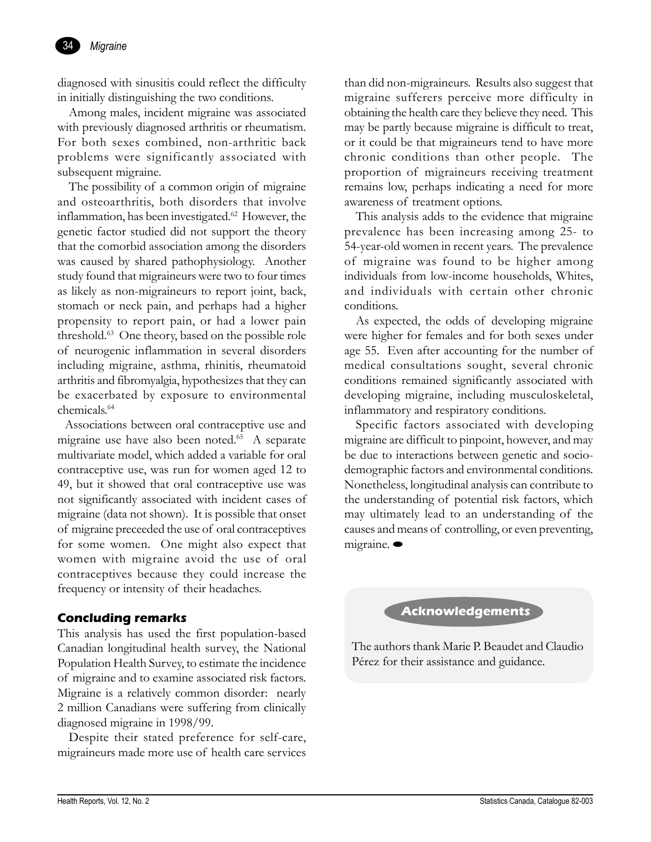

diagnosed with sinusitis could reflect the difficulty in initially distinguishing the two conditions.

Among males, incident migraine was associated with previously diagnosed arthritis or rheumatism. For both sexes combined, non-arthritic back problems were significantly associated with subsequent migraine.

The possibility of a common origin of migraine and osteoarthritis, both disorders that involve inflammation, has been investigated.<sup>62</sup> However, the genetic factor studied did not support the theory that the comorbid association among the disorders was caused by shared pathophysiology. Another study found that migraineurs were two to four times as likely as non-migraineurs to report joint, back, stomach or neck pain, and perhaps had a higher propensity to report pain, or had a lower pain threshold.63 One theory, based on the possible role of neurogenic inflammation in several disorders including migraine, asthma, rhinitis, rheumatoid arthritis and fibromyalgia, hypothesizes that they can be exacerbated by exposure to environmental chemicals.64

 Associations between oral contraceptive use and migraine use have also been noted.<sup>65</sup> A separate multivariate model, which added a variable for oral contraceptive use, was run for women aged 12 to 49, but it showed that oral contraceptive use was not significantly associated with incident cases of migraine (data not shown). It is possible that onset of migraine preceeded the use of oral contraceptives for some women. One might also expect that women with migraine avoid the use of oral contraceptives because they could increase the frequency or intensity of their headaches.

# **Concluding remarks**

This analysis has used the first population-based Canadian longitudinal health survey, the National Population Health Survey, to estimate the incidence of migraine and to examine associated risk factors. Migraine is a relatively common disorder: nearly 2 million Canadians were suffering from clinically diagnosed migraine in 1998/99.

Despite their stated preference for self-care, migraineurs made more use of health care services

than did non-migraineurs. Results also suggest that migraine sufferers perceive more difficulty in obtaining the health care they believe they need. This may be partly because migraine is difficult to treat, or it could be that migraineurs tend to have more chronic conditions than other people. The proportion of migraineurs receiving treatment remains low, perhaps indicating a need for more awareness of treatment options.

This analysis adds to the evidence that migraine prevalence has been increasing among 25- to 54-year-old women in recent years. The prevalence of migraine was found to be higher among individuals from low-income households, Whites, and individuals with certain other chronic conditions.

As expected, the odds of developing migraine were higher for females and for both sexes under age 55. Even after accounting for the number of medical consultations sought, several chronic conditions remained significantly associated with developing migraine, including musculoskeletal, inflammatory and respiratory conditions.

Specific factors associated with developing migraine are difficult to pinpoint, however, and may be due to interactions between genetic and sociodemographic factors and environmental conditions. Nonetheless, longitudinal analysis can contribute to the understanding of potential risk factors, which may ultimately lead to an understanding of the causes and means of controlling, or even preventing, migraine.

**Acknowledgements**

The authors thank Marie P. Beaudet and Claudio Pérez for their assistance and guidance.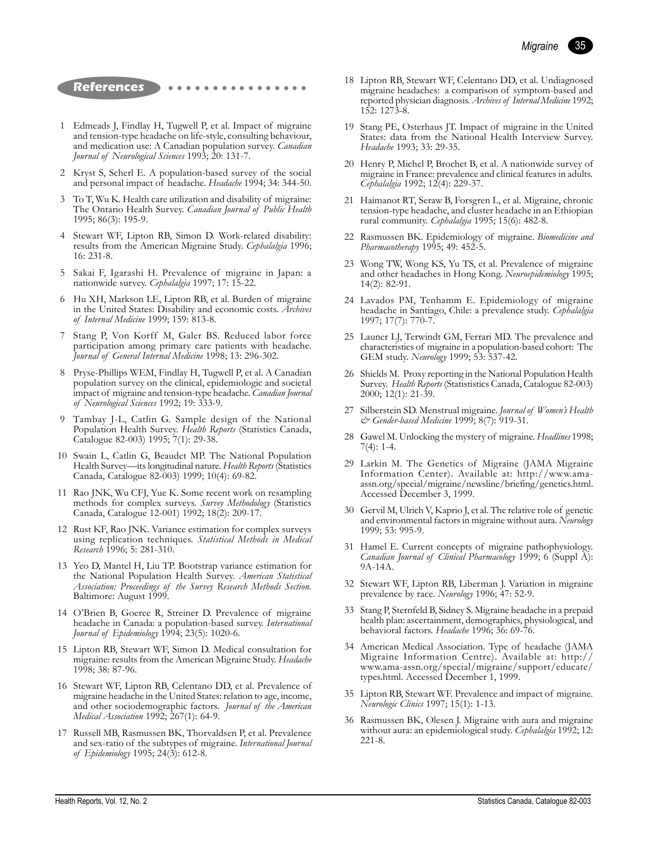

### **References**

- 1 Edmeads J, Findlay H, Tugwell P, et al. Impact of migraine and tension-type headache on life-style, consulting behaviour, and medication use: A Canadian population survey. *Canadian Journal of Neurological Sciences* 1993; 20: 131-7.
- 2 Kryst S, Scherl E. A population-based survey of the social and personal impact of headache. *Headache* 1994; 34: 344-50.
- 3 To T, Wu K. Health care utilization and disability of migraine: The Ontario Health Survey. *Canadian Journal of Public Health* 1995; 86(3): 195-9.
- 4 Stewart WF, Lipton RB, Simon D. Work-related disability: results from the American Migraine Study. *Cephalalgia* 1996; 16: 231-8.
- 5 Sakai F, Igarashi H. Prevalence of migraine in Japan: a nationwide survey. *Cephalalgia* 1997; 17: 15-22.
- 6 Hu XH, Markson LE, Lipton RB, et al. Burden of migraine in the United States: Disability and economic costs. *Archives of Internal Medicine* 1999; 159: 813-8.
- Stang P, Von Korff M, Galer BS. Reduced labor force participation among primary care patients with headache. *Journal of General Internal Medicine* 1998; 13: 296-302.
- 8 Pryse-Phillips WEM, Findlay H, Tugwell P, et al. A Canadian population survey on the clinical, epidemiologic and societal impact of migraine and tension-type headache. *Canadian Journal of Neurological Sciences* 1992; 19: 333-9.
- 9 Tambay J-L, Catlin G. Sample design of the National Population Health Survey. *Health Reports* (Statistics Canada, Catalogue 82-003) 1995; 7(1): 29-38.
- 10 Swain L, Catlin G, Beaudet MP. The National Population Health Survey—its longitudinal nature. *Health Reports* (Statistics Canada, Catalogue 82-003) 1999; 10(4): 69-82.
- 11 Rao JNK, Wu CFJ, Yue K. Some recent work on resampling methods for complex surveys. *Survey Methodology* (Statistics Canada, Catalogue 12-001) 1992; 18(2): 209-17.
- 12 Rust KF, Rao JNK. Variance estimation for complex surveys using replication techniques. *Statistical Methods in Medical Research* 1996; 5: 281-310.
- 13 Yeo D, Mantel H, Liu TP. Bootstrap variance estimation for the National Population Health Survey. *American Statistical Association: Proceedings of the Survey Research Methods Section*. Baltimore: August 1999.
- 14 OíBrien B, Goeree R, Streiner D. Prevalence of migraine headache in Canada: a population-based survey. *International Journal of Epidemiology* 1994; 23(5): 1020-6.
- 15 Lipton RB, Stewart WF, Simon D. Medical consultation for migraine: results from the American Migraine Study. *Headache* 1998; 38: 87-96.
- 16 Stewart WF, Lipton RB, Celentano DD, et al. Prevalence of migraine headache in the United States: relation to age, income, and other sociodemographic factors. *Journal of the American Medical Association* 1992; 267(1): 64-9.
- 17 Russell MB, Rasmussen BK, Thorvaldsen P, et al. Prevalence and sex-ratio of the subtypes of migraine. *International Journal of Epidemiology* 1995; 24(3): 612-8.
- 18 Lipton RB, Stewart WF, Celentano DD, et al. Undiagnosed migraine headaches: a comparison of symptom-based and reported physician diagnosis. *Archives of Internal Medicine* 1992; 152: 1273-8.
- 19 Stang PE, Osterhaus JT. Impact of migraine in the United States: data from the National Health Interview Survey. *Headache* 1993; 33: 29-35.
- 20 Henry P, Michel P, Brochet B, et al. A nationwide survey of migraine in France: prevalence and clinical features in adults*. Cephalalgia* 1992; 12(4): 229-37.
- 21 Haimanot RT, Seraw B, Forsgren L, et al. Migraine, chronic tension-type headache, and cluster headache in an Ethiopian rural community. *Cephalalgia* 1995; 15(6): 482-8.
- 22 Rasmussen BK. Epidemiology of migraine. *Biomedicine and Pharmacotherapy* 1995; 49: 452-5.
- 23 Wong TW, Wong KS, Yu TS, et al. Prevalence of migraine and other headaches in Hong Kong. *Neuroepidemiology* 1995; 14(2): 82-91.
- 24 Lavados PM, Tenhamm E. Epidemiology of migraine headache in Santiago, Chile: a prevalence study. *Cephalalgia* 1997; 17(7): 770-7.
- 25 Launer LJ, Terwindt GM, Ferrari MD. The prevalence and characteristics of migraine in a population-based cohort: The GEM study. *Neurology* 1999; 53: 537-42.
- 26 Shields M. Proxy reporting in the National Population Health Survey. *Health Reports* (Statististics Canada, Catalogue 82-003) 2000; 12(1): 21-39.
- 27 Silberstein SD. Menstrual migraine. *Journal of Womenís Health & Gender-based Medicine* 1999; 8(7): 919-31.
- 28 Gawel M. Unlocking the mystery of migraine. *Headlines* 1998; 7(4): 1-4.
- 29 Larkin M. The Genetics of Migraine (JAMA Migraine Information Center). Available at: http://www.amaassn.org/special/migraine/newsline/briefing/genetics.html. Accessed December 3, 1999.
- 30 Gervil M, Ulrich V, Kaprio J, et al. The relative role of genetic and environmental factors in migraine without aura. *Neurology* 1999; 53: 995-9.
- 31 Hamel E. Current concepts of migraine pathophysiology. *Canadian Journal of Clinical Pharmacology* 1999; 6 (Suppl A): 9A-14A.
- 32 Stewart WF, Lipton RB, Liberman J. Variation in migraine prevalence by race. *Neurology* 1996; 47: 52-9.
- 33 Stang P, Sternfeld B, Sidney S. Migraine headache in a prepaid health plan: ascertainment, demographics, physiological, and behavioral factors. *Headache* 1996; 36: 69-76.
- 34 American Medical Association. Type of headache (JAMA Migraine Information Centre). Available at: http:// www.ama-assn.org/special/migraine/support/educate/ types.html. Accessed December 1, 1999.
- 35 Lipton RB, Stewart WF. Prevalence and impact of migraine. *Neurologic Clinics* 1997; 15(1): 1-13.
- 36 Rasmussen BK, Olesen J. Migraine with aura and migraine without aura: an epidemiological study. *Cephalalgia* 1992; 12: 221-8.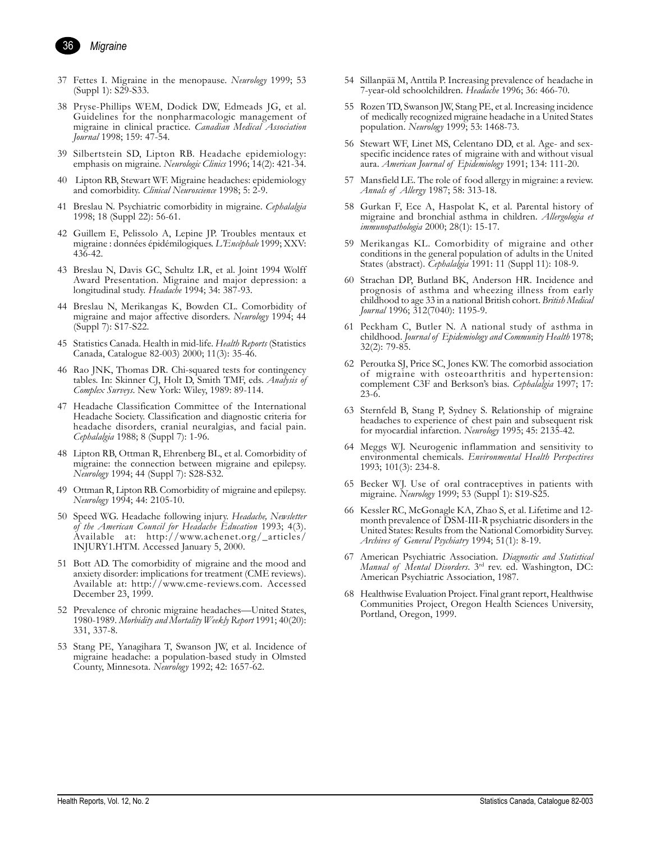

- 37 Fettes I. Migraine in the menopause. *Neurology* 1999; 53 (Suppl 1): S29-S33.
- 38 Pryse-Phillips WEM, Dodick DW, Edmeads JG, et al. Guidelines for the nonpharmacologic management of migraine in clinical practice. *Canadian Medical Association Journal* 1998; 159: 47-54.
- 39 Silbertstein SD, Lipton RB. Headache epidemiology: emphasis on migraine. *Neurologic Clinics* 1996; 14(2): 421-34.
- 40 Lipton RB, Stewart WF. Migraine headaches: epidemiology and comorbidity. *Clinical Neuroscience* 1998; 5: 2-9.
- 41 Breslau N. Psychiatric comorbidity in migraine. *Cephalalgia* 1998; 18 (Suppl 22): 56-61.
- 42 Guillem E, Pelissolo A, Lepine JP. Troubles mentaux et migraine : donnÈes ÈpidÈmilogiques. *LíEncÈphale* 1999; XXV: 436-42.
- 43 Breslau N, Davis GC, Schultz LR, et al. Joint 1994 Wolff Award Presentation. Migraine and major depression: a longitudinal study. *Headache* 1994; 34: 387-93.
- 44 Breslau N, Merikangas K, Bowden CL. Comorbidity of migraine and major affective disorders. *Neurology* 1994; 44 (Suppl 7): S17-S22.
- 45 Statistics Canada. Health in mid-life. *Health Reports* (Statistics Canada, Catalogue 82-003) 2000; 11(3): 35-46.
- 46 Rao JNK, Thomas DR. Chi-squared tests for contingency tables. In: Skinner CJ, Holt D, Smith TMF, eds. *Analysis of Complex Surveys*. New York: Wiley, 1989: 89-114.
- 47 Headache Classification Committee of the International Headache Society. Classification and diagnostic criteria for headache disorders, cranial neuralgias, and facial pain. *Cephalalgia* 1988; 8 (Suppl 7): 1-96.
- 48 Lipton RB, Ottman R, Ehrenberg BL, et al. Comorbidity of migraine: the connection between migraine and epilepsy. *Neurology* 1994; 44 (Suppl 7): S28-S32.
- 49 Ottman R, Lipton RB. Comorbidity of migraine and epilepsy. *Neurology* 1994; 44: 2105-10.
- 50 Speed WG. Headache following injury. *Headache, Newsletter of the American Council for Headache Education* 1993; 4(3). Available at: http://www.achenet.org/\_articles/ INJURY1.HTM. Accessed January 5, 2000.
- 51 Bott AD. The comorbidity of migraine and the mood and anxiety disorder: implications for treatment (CME reviews). Available at: http://www.cme-reviews.com. Accessed December 23, 1999.
- 52 Prevalence of chronic migraine headaches—United States, 1980-1989. *Morbidity and Mortality Weekly Report* 1991; 40(20): 331, 337-8.
- 53 Stang PE, Yanagihara T, Swanson JW, et al. Incidence of migraine headache: a population-based study in Olmsted County, Minnesota. *Neurology* 1992; 42: 1657-62.
- 54 Sillanpää M, Anttila P. Increasing prevalence of headache in 7-year-old schoolchildren. *Headache* 1996; 36: 466-70.
- 55 Rozen TD, Swanson JW, Stang PE, et al. Increasing incidence of medically recognized migraine headache in a United States population. *Neurology* 1999; 53: 1468-73.
- 56 Stewart WF, Linet MS, Celentano DD, et al. Age- and sexspecific incidence rates of migraine with and without visual aura. *American Journal of Epidemiology* 1991; 134: 111-20.
- 57 Mansfield LE. The role of food allergy in migraine: a review. *Annals of Allergy* 1987; 58: 313-18.
- 58 Gurkan F, Ece A, Haspolat K, et al. Parental history of migraine and bronchial asthma in children. *Allergologia et immunopathologia* 2000; 28(1): 15-17.
- 59 Merikangas KL. Comorbidity of migraine and other conditions in the general population of adults in the United States (abstract). *Cephalalgia* 1991: 11 (Suppl 11): 108-9.
- 60 Strachan DP, Butland BK, Anderson HR. Incidence and prognosis of asthma and wheezing illness from early childhood to age 33 in a national British cohort. *British Medical Journal* 1996; 312(7040): 1195-9.
- 61 Peckham C, Butler N. A national study of asthma in childhood. *Journal of Epidemiology and Community Health* 1978; 32(2): 79-85.
- 62 Peroutka SJ, Price SC, Jones KW. The comorbid association of migraine with osteoarthritis and hypertension: complement C3F and Berkson's bias. *Cephalalgia* 1997; 17: 23-6.
- 63 Sternfeld B, Stang P, Sydney S. Relationship of migraine headaches to experience of chest pain and subsequent risk for myocardial infarction. *Neurology* 1995; 45: 2135-42.
- 64 Meggs WJ. Neurogenic inflammation and sensitivity to environmental chemicals. *Environmental Health Perspectives* 1993; 101(3): 234-8.
- 65 Becker WJ. Use of oral contraceptives in patients with migraine. *Neurology* 1999; 53 (Suppl 1): S19-S25.
- 66 Kessler RC, McGonagle KA, Zhao S, et al. Lifetime and 12 month prevalence of DSM-III-R psychiatric disorders in the United States: Results from the National Comorbidity Survey. *Archives of General Psychiatry* 1994; 51(1): 8-19.
- 67 American Psychiatric Association. *Diagnostic and Statistical Manual of Mental Disorders*. 3rd rev. ed. Washington, DC: American Psychiatric Association, 1987.
- 68 Healthwise Evaluation Project. Final grant report, Healthwise Communities Project, Oregon Health Sciences University, Portland, Oregon, 1999.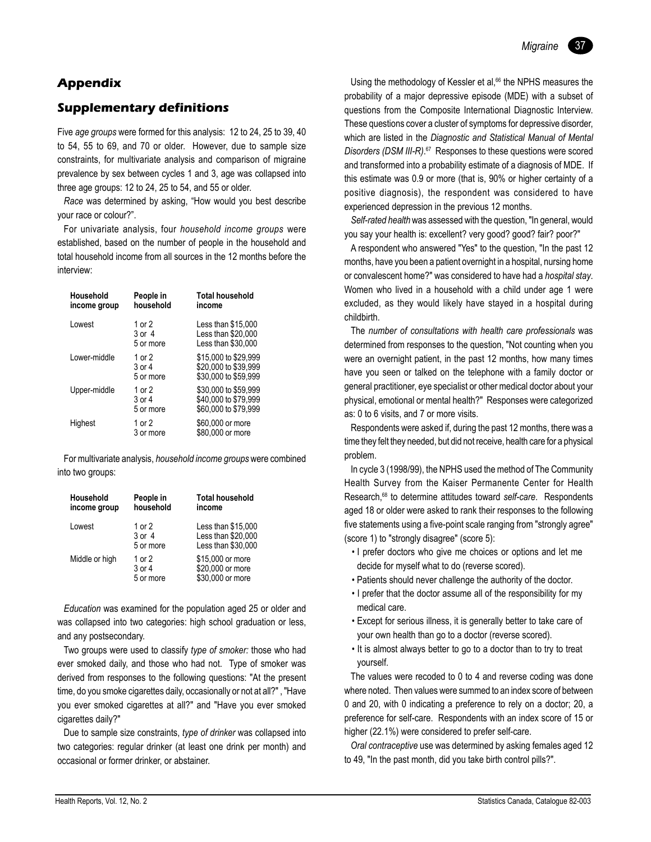# **Appendix**

# **Supplementary definitions**

Five *age groups* were formed for this analysis: 12 to 24, 25 to 39, 40 to 54, 55 to 69, and 70 or older. However, due to sample size constraints, for multivariate analysis and comparison of migraine prevalence by sex between cycles 1 and 3, age was collapsed into three age groups: 12 to 24, 25 to 54, and 55 or older.

*Race* was determined by asking, "How would you best describe your race or colour?".

For univariate analysis, four *household income groups* were established, based on the number of people in the household and total household income from all sources in the 12 months before the interview:

| Household<br>income group | People in<br>household          | <b>Total household</b><br>income                                     |
|---------------------------|---------------------------------|----------------------------------------------------------------------|
| I owest                   | 1 or $2$<br>3 or 4<br>5 or more | Less than \$15,000<br>Less than \$20,000<br>Less than \$30,000       |
| I ower-middle             | 1 or 2<br>3 or 4<br>5 or more   | \$15,000 to \$29,999<br>\$20,000 to \$39,999<br>\$30,000 to \$59,999 |
| Upper-middle              | 1 or 2<br>3 or 4<br>5 or more   | \$30,000 to \$59,999<br>\$40,000 to \$79,999<br>\$60,000 to \$79,999 |
| Highest                   | 1 or 2<br>3 or more             | \$60,000 or more<br>\$80,000 or more                                 |

For multivariate analysis, *household income groups* were combined into two groups:

| Household<br>income group | People in<br>household            | <b>Total household</b><br>income                               |
|---------------------------|-----------------------------------|----------------------------------------------------------------|
| Lowest                    | 1 or 2<br>3 or 4<br>5 or more     | Less than \$15,000<br>Less than \$20,000<br>Less than \$30,000 |
| Middle or high            | 1 or 2<br>$3$ or $4$<br>5 or more | \$15,000 or more<br>\$20,000 or more<br>\$30,000 or more       |

*Education* was examined for the population aged 25 or older and was collapsed into two categories: high school graduation or less, and any postsecondary.

Two groups were used to classify *type of smoker:* those who had ever smoked daily, and those who had not. Type of smoker was derived from responses to the following questions: "At the present time, do you smoke cigarettes daily, occasionally or not at all?" , "Have you ever smoked cigarettes at all?" and "Have you ever smoked cigarettes daily?"

Due to sample size constraints, *type of drinker* was collapsed into two categories: regular drinker (at least one drink per month) and occasional or former drinker, or abstainer.

*Migraine* 37

Using the methodology of Kessler et al,<sup>66</sup> the NPHS measures the probability of a major depressive episode (MDE) with a subset of questions from the Composite International Diagnostic Interview. These questions cover a cluster of symptoms for depressive disorder, which are listed in the *Diagnostic and Statistical Manual of Mental Disorders (DSM III-R)*. 67 Responses to these questions were scored and transformed into a probability estimate of a diagnosis of MDE. If this estimate was 0.9 or more (that is, 90% or higher certainty of a positive diagnosis), the respondent was considered to have experienced depression in the previous 12 months.

*Self-rated health* was assessed with the question, "In general, would you say your health is: excellent? very good? good? fair? poor?"

A respondent who answered "Yes" to the question, "In the past 12 months, have you been a patient overnight in a hospital, nursing home or convalescent home?" was considered to have had a *hospital stay*. Women who lived in a household with a child under age 1 were excluded, as they would likely have stayed in a hospital during childbirth.

The *number of consultations with health care professionals* was determined from responses to the question, "Not counting when you were an overnight patient, in the past 12 months, how many times have you seen or talked on the telephone with a family doctor or general practitioner, eye specialist or other medical doctor about your physical, emotional or mental health?" Responses were categorized as: 0 to 6 visits, and 7 or more visits.

Respondents were asked if, during the past 12 months, there was a time they felt they needed, but did not receive, health care for a physical problem.

In cycle 3 (1998/99), the NPHS used the method of The Community Health Survey from the Kaiser Permanente Center for Health Research,68 to determine attitudes toward *self-care*. Respondents aged 18 or older were asked to rank their responses to the following five statements using a five-point scale ranging from "strongly agree" (score 1) to "strongly disagree" (score 5):

- I prefer doctors who give me choices or options and let me decide for myself what to do (reverse scored).
- Patients should never challenge the authority of the doctor.
- I prefer that the doctor assume all of the responsibility for my medical care.
- Except for serious illness, it is generally better to take care of your own health than go to a doctor (reverse scored).
- It is almost always better to go to a doctor than to try to treat yourself.

The values were recoded to 0 to 4 and reverse coding was done where noted. Then values were summed to an index score of between 0 and 20, with 0 indicating a preference to rely on a doctor; 20, a preference for self-care. Respondents with an index score of 15 or higher (22.1%) were considered to prefer self-care.

*Oral contraceptive* use was determined by asking females aged 12 to 49, "In the past month, did you take birth control pills?".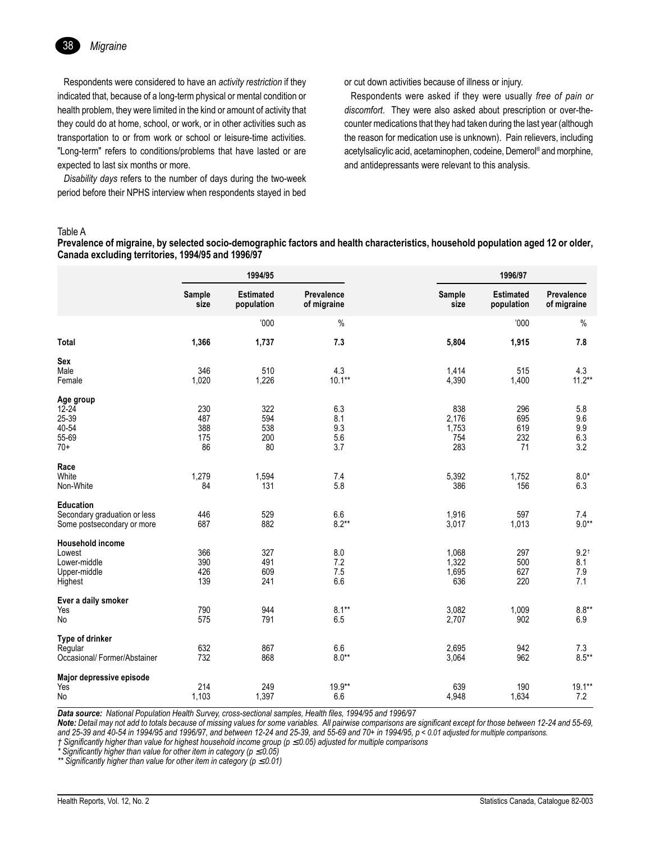

Respondents were considered to have an *activity restriction* if they indicated that, because of a long-term physical or mental condition or health problem, they were limited in the kind or amount of activity that they could do at home, school, or work, or in other activities such as transportation to or from work or school or leisure-time activities. "Long-term" refers to conditions/problems that have lasted or are expected to last six months or more.

*Disability days* refers to the number of days during the two-week period before their NPHS interview when respondents stayed in bed

or cut down activities because of illness or injury.

Respondents were asked if they were usually *free of pain or discomfort*. They were also asked about prescription or over-thecounter medications that they had taken during the last year (although the reason for medication use is unknown). Pain relievers, including acetylsalicylic acid, acetaminophen, codeine, Demerol® and morphine, and antidepressants were relevant to this analysis.

#### Table A

**Prevalence of migraine, by selected socio-demographic factors and health characteristics, household population aged 12 or older, Canada excluding territories, 1994/95 and 1996/97**

|                                                                                |                                | 1994/95                        |                                 |                                     | 1996/97                        |                                      |
|--------------------------------------------------------------------------------|--------------------------------|--------------------------------|---------------------------------|-------------------------------------|--------------------------------|--------------------------------------|
|                                                                                | Sample<br>size                 | <b>Estimated</b><br>population | Prevalence<br>of migraine       | Sample<br>size                      | <b>Estimated</b><br>population | Prevalence<br>of migraine            |
|                                                                                |                                | '000                           | $\%$                            |                                     | 000'                           | $\%$                                 |
| <b>Total</b>                                                                   | 1,366                          | 1,737                          | 7.3                             | 5,804                               | 1,915                          | 7.8                                  |
| Sex<br>Male<br>Female                                                          | 346<br>1,020                   | 510<br>1,226                   | 4.3<br>$10.1**$                 | 1,414<br>4,390                      | 515<br>1,400                   | 4.3<br>$11.2***$                     |
| Age group<br>12-24<br>25-39<br>40-54<br>55-69<br>$70+$                         | 230<br>487<br>388<br>175<br>86 | 322<br>594<br>538<br>200<br>80 | 6.3<br>8.1<br>9.3<br>5.6<br>3.7 | 838<br>2,176<br>1,753<br>754<br>283 | 296<br>695<br>619<br>232<br>71 | 5.8<br>9.6<br>9.9<br>6.3<br>3.2      |
| Race<br>White<br>Non-White                                                     | 1,279<br>84                    | 1,594<br>131                   | 7.4<br>5.8                      | 5,392<br>386                        | 1,752<br>156                   | $8.0*$<br>6.3                        |
| <b>Education</b><br>Secondary graduation or less<br>Some postsecondary or more | 446<br>687                     | 529<br>882                     | 6.6<br>$8.2**$                  | 1,916<br>3,017                      | 597<br>1,013                   | 7.4<br>$9.0**$                       |
| <b>Household income</b><br>Lowest<br>Lower-middle<br>Upper-middle<br>Highest   | 366<br>390<br>426<br>139       | 327<br>491<br>609<br>241       | 8.0<br>7.2<br>7.5<br>6.6        | 1,068<br>1,322<br>1,695<br>636      | 297<br>500<br>627<br>220       | $9.2^{\dagger}$<br>8.1<br>7.9<br>7.1 |
| Ever a daily smoker<br>Yes<br>No                                               | 790<br>575                     | 944<br>791                     | $8.1***$<br>6.5                 | 3,082<br>2,707                      | 1,009<br>902                   | $8.8**$<br>6.9                       |
| Type of drinker<br>Regular<br>Occasional/ Former/Abstainer                     | 632<br>732                     | 867<br>868                     | 6.6<br>$8.0**$                  | 2,695<br>3,064                      | 942<br>962                     | 7.3<br>$8.5***$                      |
| Major depressive episode<br>Yes<br>No                                          | 214<br>1,103                   | 249<br>1,397                   | 19.9**<br>6.6                   | 639<br>4,948                        | 190<br>1,634                   | $19.1**$<br>7.2                      |

*Data source: National Population Health Survey, cross-sectional samples, Health files, 1994/95 and 1996/97*

*Note: Detail may not add to totals because of missing values for some variables. All pairwise comparisons are significant except for those between 12-24 and 55-69, and 25-39 and 40-54 in 1994/95 and 1996/97, and between 12-24 and 25-39, and 55-69 and 70+ in 1994/95, p < 0.01 adjusted for multiple comparisons.*

*Ü Significantly higher than value for highest household income group (p* ≤ *0.05) adjusted for multiple comparisons*

*\* Significantly higher than value for other item in category (p* ≤ *0.05)*

*\*\* Significantly higher than value for other item in category (p* ≤ *0.01)*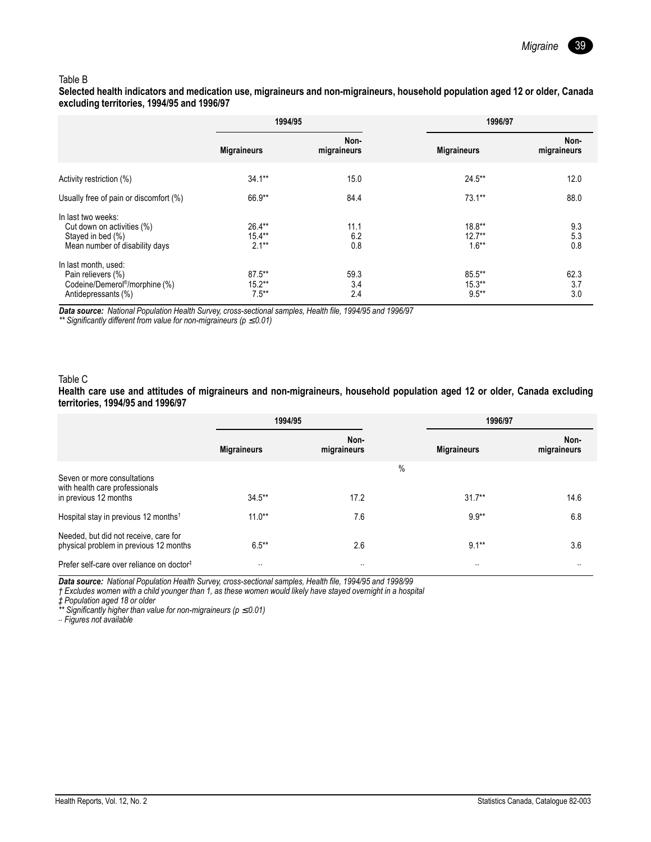

#### Table B

**Selected health indicators and medication use, migraineurs and non-migraineurs, household population aged 12 or older, Canada excluding territories, 1994/95 and 1996/97**

|                                                                                                                 | 1994/95                            |                     | 1996/97                          |                     |
|-----------------------------------------------------------------------------------------------------------------|------------------------------------|---------------------|----------------------------------|---------------------|
|                                                                                                                 | <b>Migraineurs</b>                 | Non-<br>migraineurs | <b>Migraineurs</b>               | Non-<br>migraineurs |
| Activity restriction (%)                                                                                        | $34.1***$                          | 15.0                | $24.5***$                        | 12.0                |
| Usually free of pain or discomfort (%)                                                                          | 66.9**                             | 84.4                | $73.1***$                        | 88.0                |
| In last two weeks:<br>Cut down on activities (%)<br>Stayed in bed (%)<br>Mean number of disability days         | $26.4***$<br>$15.4***$<br>$2.1***$ | 11.1<br>6.2<br>0.8  | $18.8**$<br>$12.7**$<br>$1.6***$ | 9.3<br>5.3<br>0.8   |
| In last month, used:<br>Pain relievers (%)<br>Codeine/Demerol <sup>®</sup> /morphine (%)<br>Antidepressants (%) | $87.5***$<br>$15.2***$<br>$7.5***$ | 59.3<br>3.4<br>2.4  | 85.5**<br>$15.3***$<br>$9.5***$  | 62.3<br>3.7<br>3.0  |

*Data source: National Population Health Survey, cross-sectional samples, Health file, 1994/95 and 1996/97*

*\*\* Significantly different from value for non-migraineurs (p* ≤ *0.01)*

#### Table C

**Health care use and attitudes of migraineurs and non-migraineurs, household population aged 12 or older, Canada excluding territories, 1994/95 and 1996/97**

|                                                                                        | 1994/95            |                     |      | 1996/97            |                     |
|----------------------------------------------------------------------------------------|--------------------|---------------------|------|--------------------|---------------------|
|                                                                                        | <b>Migraineurs</b> | Non-<br>migraineurs |      | <b>Migraineurs</b> | Non-<br>migraineurs |
| Seven or more consultations<br>with health care professionals<br>in previous 12 months | $34.5***$          | 17.2                | $\%$ | $31.7***$          | 14.6                |
| Hospital stay in previous 12 months <sup>†</sup>                                       | $11.0**$           | 7.6                 |      | $9.9**$            | 6.8                 |
| Needed, but did not receive, care for<br>physical problem in previous 12 months        | $6.5***$           | 2.6                 |      | $9.1***$           | 3.6                 |
| Prefer self-care over reliance on doctor <sup>#</sup>                                  | $\cdot$            | $\cdot$             |      | $\cdot$            |                     |

*Data source: National Population Health Survey, cross-sectional samples, Health file, 1994/95 and 1998/99*

*Ü Excludes women with a child younger than 1, as these women would likely have stayed overnight in a hospital*

*á Population aged 18 or older*

*\*\* Significantly higher than value for non-migraineurs (p* ≤ *0.01) .. Figures not available*